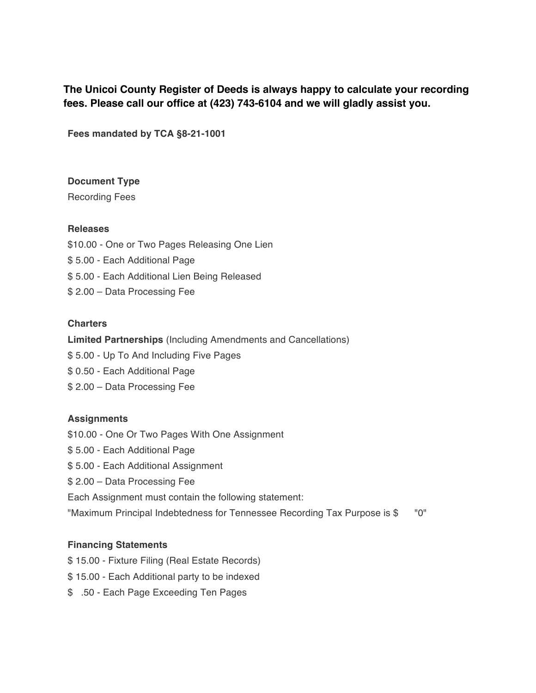**The Unicoi County Register of Deeds is always happy to calculate your recording fees. Please call our office at (423) 743-6104 and we will gladly assist you.** 

**Fees mandated by TCA §8-21-1001**

#### **Document Type**

Recording Fees

#### **Releases**

\$10.00 - One or Two Pages Releasing One Lien \$ 5.00 - Each Additional Page \$ 5.00 - Each Additional Lien Being Released \$ 2.00 – Data Processing Fee

#### **Charters**

**Limited Partnerships** (Including Amendments and Cancellations)

- \$ 5.00 Up To And Including Five Pages
- \$ 0.50 Each Additional Page
- \$ 2.00 Data Processing Fee

## **Assignments**

- \$10.00 One Or Two Pages With One Assignment
- \$ 5.00 Each Additional Page
- \$ 5.00 Each Additional Assignment
- \$ 2.00 Data Processing Fee
- Each Assignment must contain the following statement:
- "Maximum Principal Indebtedness for Tennessee Recording Tax Purpose is \$ "0"

## **Financing Statements**

- \$ 15.00 Fixture Filing (Real Estate Records)
- \$ 15.00 Each Additional party to be indexed
- \$ .50 Each Page Exceeding Ten Pages